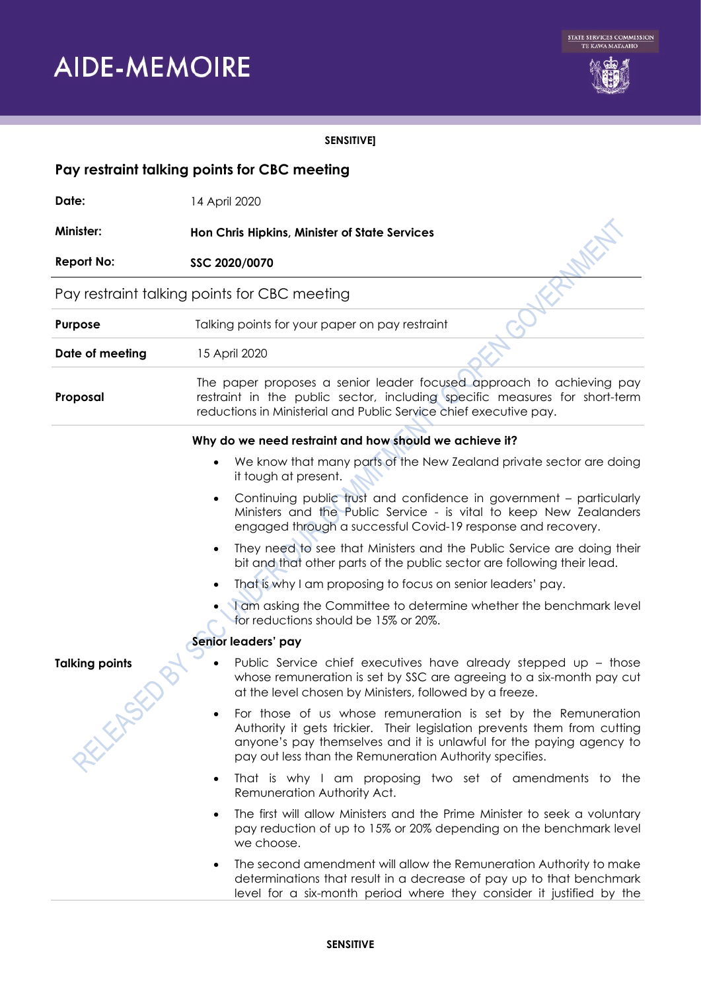# **AIDE-MEMOIRE**



# **SENSITIVE]**

| Pay restraint talking points for CBC meeting |                                                                                                                                                                                                                                                                             |
|----------------------------------------------|-----------------------------------------------------------------------------------------------------------------------------------------------------------------------------------------------------------------------------------------------------------------------------|
| Date:                                        | 14 April 2020                                                                                                                                                                                                                                                               |
| Minister:                                    | Hon Chris Hipkins, Minister of State Services                                                                                                                                                                                                                               |
| <b>Report No:</b>                            | SSC 2020/0070                                                                                                                                                                                                                                                               |
| Pay restraint talking points for CBC meeting |                                                                                                                                                                                                                                                                             |
| Purpose                                      | Talking points for your paper on pay restraint                                                                                                                                                                                                                              |
| Date of meeting                              | 15 April 2020                                                                                                                                                                                                                                                               |
| Proposal                                     | The paper proposes a senior leader focused approach to achieving pay<br>restraint in the public sector, including specific measures for short-term<br>reductions in Ministerial and Public Service chief executive pay.                                                     |
|                                              | Why do we need restraint and how should we achieve it?                                                                                                                                                                                                                      |
|                                              | We know that many parts of the New Zealand private sector are doing<br>it tough at present.                                                                                                                                                                                 |
|                                              | Continuing public trust and confidence in government - particularly<br>$\bullet$<br>Ministers and the Public Service - is vital to keep New Zealanders<br>engaged through a successful Covid-19 response and recovery.                                                      |
|                                              | They need to see that Ministers and the Public Service are doing their<br>bit and that other parts of the public sector are following their lead.                                                                                                                           |
|                                              | That is why I am proposing to focus on senior leaders' pay.                                                                                                                                                                                                                 |
|                                              | I am asking the Committee to determine whether the benchmark level<br>for reductions should be 15% or 20%.                                                                                                                                                                  |
|                                              | Senior leaders' pay                                                                                                                                                                                                                                                         |
| <b>Talking points</b>                        | Public Service chief executives have already stepped up - those<br>whose remuneration is set by SSC are agreeing to a six-month pay cut<br>at the level chosen by Ministers, followed by a freeze.                                                                          |
| <b>KILEMSED</b>                              | For those of us whose remuneration is set by the Remuneration<br>Authority it gets trickier. Their legislation prevents them from cutting<br>anyone's pay themselves and it is unlawful for the paying agency to<br>pay out less than the Remuneration Authority specifies. |
|                                              | That is why I am proposing two set of amendments to the<br>$\bullet$<br>Remuneration Authority Act.                                                                                                                                                                         |
|                                              | The first will allow Ministers and the Prime Minister to seek a voluntary<br>pay reduction of up to 15% or 20% depending on the benchmark level<br>we choose.                                                                                                               |
|                                              | The second amendment will allow the Remuneration Authority to make<br>$\bullet$<br>determinations that result in a decrease of pay up to that benchmark<br>level for a six-month period where they consider it justified by the                                             |